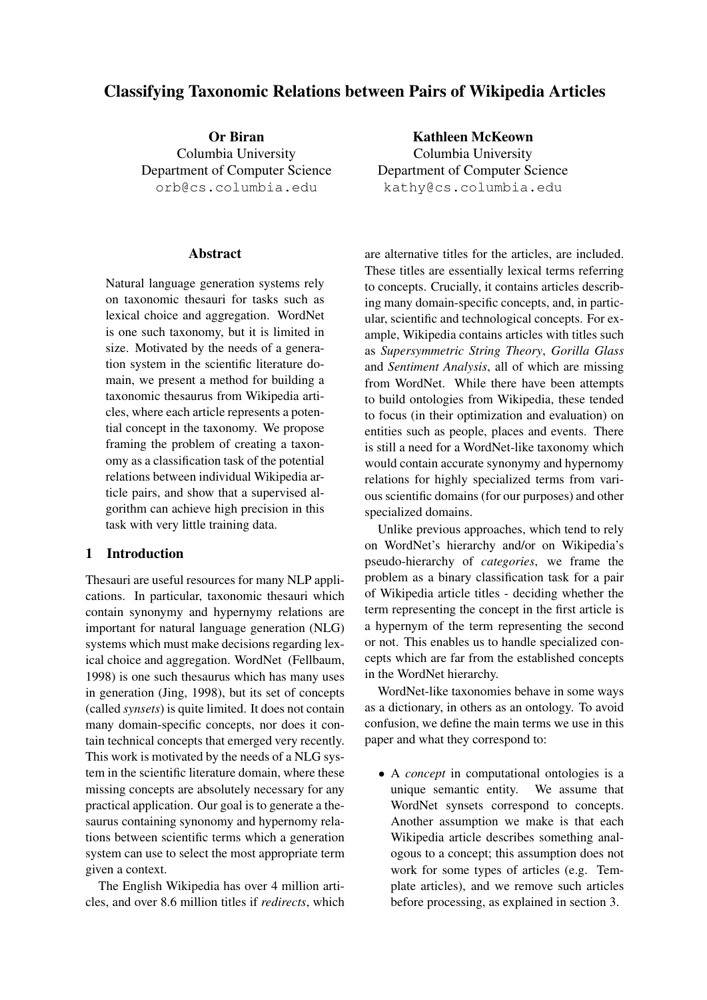# Classifying Taxonomic Relations between Pairs of Wikipedia Articles

Or Biran Columbia University Department of Computer Science orb@cs.columbia.edu

#### Abstract

Natural language generation systems rely on taxonomic thesauri for tasks such as lexical choice and aggregation. WordNet is one such taxonomy, but it is limited in size. Motivated by the needs of a generation system in the scientific literature domain, we present a method for building a taxonomic thesaurus from Wikipedia articles, where each article represents a potential concept in the taxonomy. We propose framing the problem of creating a taxonomy as a classification task of the potential relations between individual Wikipedia article pairs, and show that a supervised algorithm can achieve high precision in this task with very little training data.

# 1 Introduction

Thesauri are useful resources for many NLP applications. In particular, taxonomic thesauri which contain synonymy and hypernymy relations are important for natural language generation (NLG) systems which must make decisions regarding lexical choice and aggregation. WordNet (Fellbaum, 1998) is one such thesaurus which has many uses in generation (Jing, 1998), but its set of concepts (called *synsets*) is quite limited. It does not contain many domain-specific concepts, nor does it contain technical concepts that emerged very recently. This work is motivated by the needs of a NLG system in the scientific literature domain, where these missing concepts are absolutely necessary for any practical application. Our goal is to generate a thesaurus containing synonomy and hypernomy relations between scientific terms which a generation system can use to select the most appropriate term given a context.

The English Wikipedia has over 4 million articles, and over 8.6 million titles if *redirects*, which

Kathleen McKeown Columbia University Department of Computer Science kathy@cs.columbia.edu

are alternative titles for the articles, are included. These titles are essentially lexical terms referring to concepts. Crucially, it contains articles describing many domain-specific concepts, and, in particular, scientific and technological concepts. For example, Wikipedia contains articles with titles such as *Supersymmetric String Theory*, *Gorilla Glass* and *Sentiment Analysis*, all of which are missing from WordNet. While there have been attempts to build ontologies from Wikipedia, these tended to focus (in their optimization and evaluation) on entities such as people, places and events. There is still a need for a WordNet-like taxonomy which would contain accurate synonymy and hypernomy relations for highly specialized terms from various scientific domains (for our purposes) and other specialized domains.

Unlike previous approaches, which tend to rely on WordNet's hierarchy and/or on Wikipedia's pseudo-hierarchy of *categories*, we frame the problem as a binary classification task for a pair of Wikipedia article titles - deciding whether the term representing the concept in the first article is a hypernym of the term representing the second or not. This enables us to handle specialized concepts which are far from the established concepts in the WordNet hierarchy.

WordNet-like taxonomies behave in some ways as a dictionary, in others as an ontology. To avoid confusion, we define the main terms we use in this paper and what they correspond to:

• A *concept* in computational ontologies is a unique semantic entity. We assume that WordNet synsets correspond to concepts. Another assumption we make is that each Wikipedia article describes something analogous to a concept; this assumption does not work for some types of articles (e.g. Template articles), and we remove such articles before processing, as explained in section 3.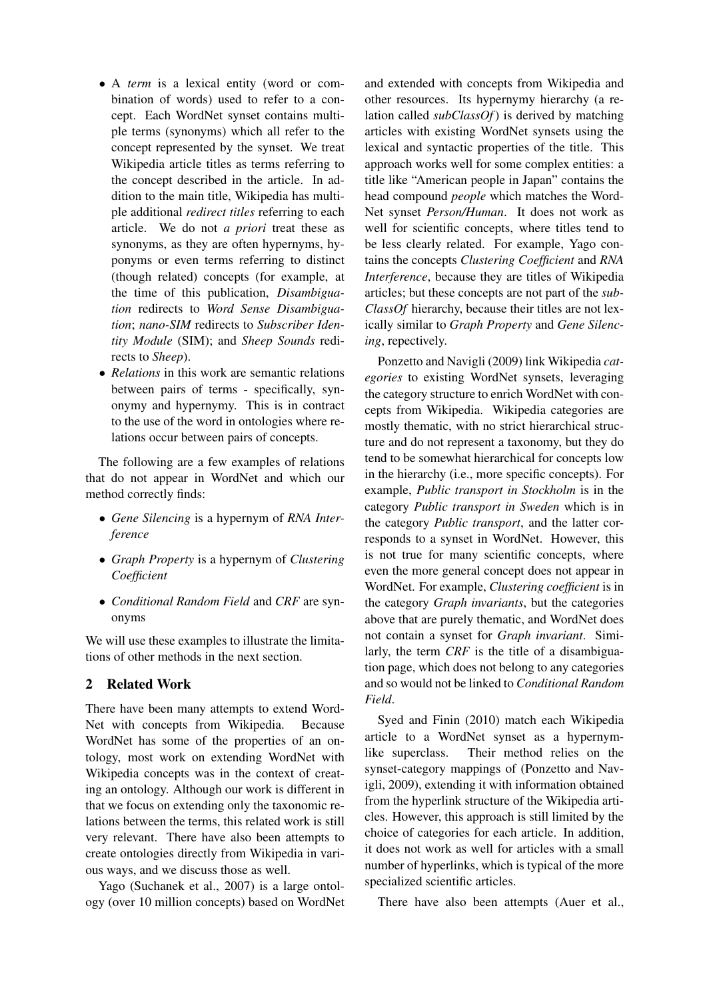- A *term* is a lexical entity (word or combination of words) used to refer to a concept. Each WordNet synset contains multiple terms (synonyms) which all refer to the concept represented by the synset. We treat Wikipedia article titles as terms referring to the concept described in the article. In addition to the main title, Wikipedia has multiple additional *redirect titles* referring to each article. We do not *a priori* treat these as synonyms, as they are often hypernyms, hyponyms or even terms referring to distinct (though related) concepts (for example, at the time of this publication, *Disambiguation* redirects to *Word Sense Disambiguation*; *nano-SIM* redirects to *Subscriber Identity Module* (SIM); and *Sheep Sounds* redirects to *Sheep*).
- *Relations* in this work are semantic relations between pairs of terms - specifically, synonymy and hypernymy. This is in contract to the use of the word in ontologies where relations occur between pairs of concepts.

The following are a few examples of relations that do not appear in WordNet and which our method correctly finds:

- *Gene Silencing* is a hypernym of *RNA Interference*
- *Graph Property* is a hypernym of *Clustering Coefficient*
- *Conditional Random Field* and *CRF* are synonyms

We will use these examples to illustrate the limitations of other methods in the next section.

# 2 Related Work

There have been many attempts to extend Word-Net with concepts from Wikipedia. Because WordNet has some of the properties of an ontology, most work on extending WordNet with Wikipedia concepts was in the context of creating an ontology. Although our work is different in that we focus on extending only the taxonomic relations between the terms, this related work is still very relevant. There have also been attempts to create ontologies directly from Wikipedia in various ways, and we discuss those as well.

Yago (Suchanek et al., 2007) is a large ontology (over 10 million concepts) based on WordNet

and extended with concepts from Wikipedia and other resources. Its hypernymy hierarchy (a relation called *subClassOf*) is derived by matching articles with existing WordNet synsets using the lexical and syntactic properties of the title. This approach works well for some complex entities: a title like "American people in Japan" contains the head compound *people* which matches the Word-Net synset *Person/Human*. It does not work as well for scientific concepts, where titles tend to be less clearly related. For example, Yago contains the concepts *Clustering Coefficient* and *RNA Interference*, because they are titles of Wikipedia articles; but these concepts are not part of the *sub-ClassOf* hierarchy, because their titles are not lexically similar to *Graph Property* and *Gene Silencing*, repectively.

Ponzetto and Navigli (2009) link Wikipedia *categories* to existing WordNet synsets, leveraging the category structure to enrich WordNet with concepts from Wikipedia. Wikipedia categories are mostly thematic, with no strict hierarchical structure and do not represent a taxonomy, but they do tend to be somewhat hierarchical for concepts low in the hierarchy (i.e., more specific concepts). For example, *Public transport in Stockholm* is in the category *Public transport in Sweden* which is in the category *Public transport*, and the latter corresponds to a synset in WordNet. However, this is not true for many scientific concepts, where even the more general concept does not appear in WordNet. For example, *Clustering coefficient* is in the category *Graph invariants*, but the categories above that are purely thematic, and WordNet does not contain a synset for *Graph invariant*. Similarly, the term *CRF* is the title of a disambiguation page, which does not belong to any categories and so would not be linked to *Conditional Random Field*.

Syed and Finin (2010) match each Wikipedia article to a WordNet synset as a hypernymlike superclass. Their method relies on the synset-category mappings of (Ponzetto and Navigli, 2009), extending it with information obtained from the hyperlink structure of the Wikipedia articles. However, this approach is still limited by the choice of categories for each article. In addition, it does not work as well for articles with a small number of hyperlinks, which is typical of the more specialized scientific articles.

There have also been attempts (Auer et al.,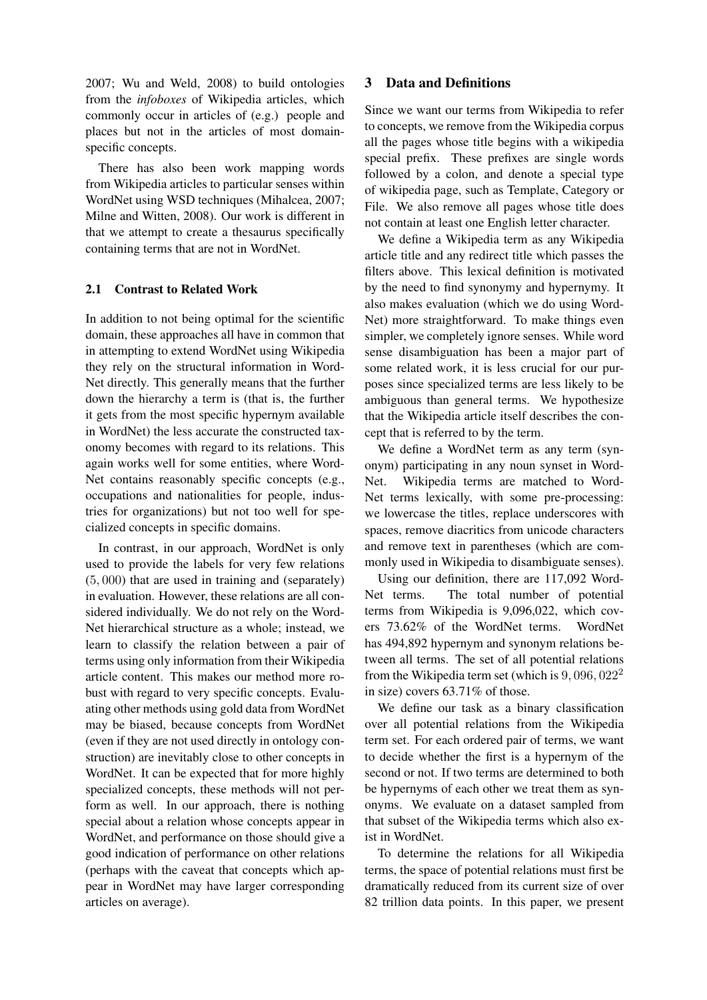2007; Wu and Weld, 2008) to build ontologies from the *infoboxes* of Wikipedia articles, which commonly occur in articles of (e.g.) people and places but not in the articles of most domainspecific concepts.

There has also been work mapping words from Wikipedia articles to particular senses within WordNet using WSD techniques (Mihalcea, 2007; Milne and Witten, 2008). Our work is different in that we attempt to create a thesaurus specifically containing terms that are not in WordNet.

#### 2.1 Contrast to Related Work

In addition to not being optimal for the scientific domain, these approaches all have in common that in attempting to extend WordNet using Wikipedia they rely on the structural information in Word-Net directly. This generally means that the further down the hierarchy a term is (that is, the further it gets from the most specific hypernym available in WordNet) the less accurate the constructed taxonomy becomes with regard to its relations. This again works well for some entities, where Word-Net contains reasonably specific concepts (e.g., occupations and nationalities for people, industries for organizations) but not too well for specialized concepts in specific domains.

In contrast, in our approach, WordNet is only used to provide the labels for very few relations (5, 000) that are used in training and (separately) in evaluation. However, these relations are all considered individually. We do not rely on the Word-Net hierarchical structure as a whole; instead, we learn to classify the relation between a pair of terms using only information from their Wikipedia article content. This makes our method more robust with regard to very specific concepts. Evaluating other methods using gold data from WordNet may be biased, because concepts from WordNet (even if they are not used directly in ontology construction) are inevitably close to other concepts in WordNet. It can be expected that for more highly specialized concepts, these methods will not perform as well. In our approach, there is nothing special about a relation whose concepts appear in WordNet, and performance on those should give a good indication of performance on other relations (perhaps with the caveat that concepts which appear in WordNet may have larger corresponding articles on average).

#### 3 Data and Definitions

Since we want our terms from Wikipedia to refer to concepts, we remove from the Wikipedia corpus all the pages whose title begins with a wikipedia special prefix. These prefixes are single words followed by a colon, and denote a special type of wikipedia page, such as Template, Category or File. We also remove all pages whose title does not contain at least one English letter character.

We define a Wikipedia term as any Wikipedia article title and any redirect title which passes the filters above. This lexical definition is motivated by the need to find synonymy and hypernymy. It also makes evaluation (which we do using Word-Net) more straightforward. To make things even simpler, we completely ignore senses. While word sense disambiguation has been a major part of some related work, it is less crucial for our purposes since specialized terms are less likely to be ambiguous than general terms. We hypothesize that the Wikipedia article itself describes the concept that is referred to by the term.

We define a WordNet term as any term (synonym) participating in any noun synset in Word-Net. Wikipedia terms are matched to Word-Net terms lexically, with some pre-processing: we lowercase the titles, replace underscores with spaces, remove diacritics from unicode characters and remove text in parentheses (which are commonly used in Wikipedia to disambiguate senses).

Using our definition, there are 117,092 Word-Net terms. The total number of potential terms from Wikipedia is 9,096,022, which covers 73.62% of the WordNet terms. WordNet has 494,892 hypernym and synonym relations between all terms. The set of all potential relations from the Wikipedia term set (which is  $9,096,022^2$ in size) covers 63.71% of those.

We define our task as a binary classification over all potential relations from the Wikipedia term set. For each ordered pair of terms, we want to decide whether the first is a hypernym of the second or not. If two terms are determined to both be hypernyms of each other we treat them as synonyms. We evaluate on a dataset sampled from that subset of the Wikipedia terms which also exist in WordNet.

To determine the relations for all Wikipedia terms, the space of potential relations must first be dramatically reduced from its current size of over 82 trillion data points. In this paper, we present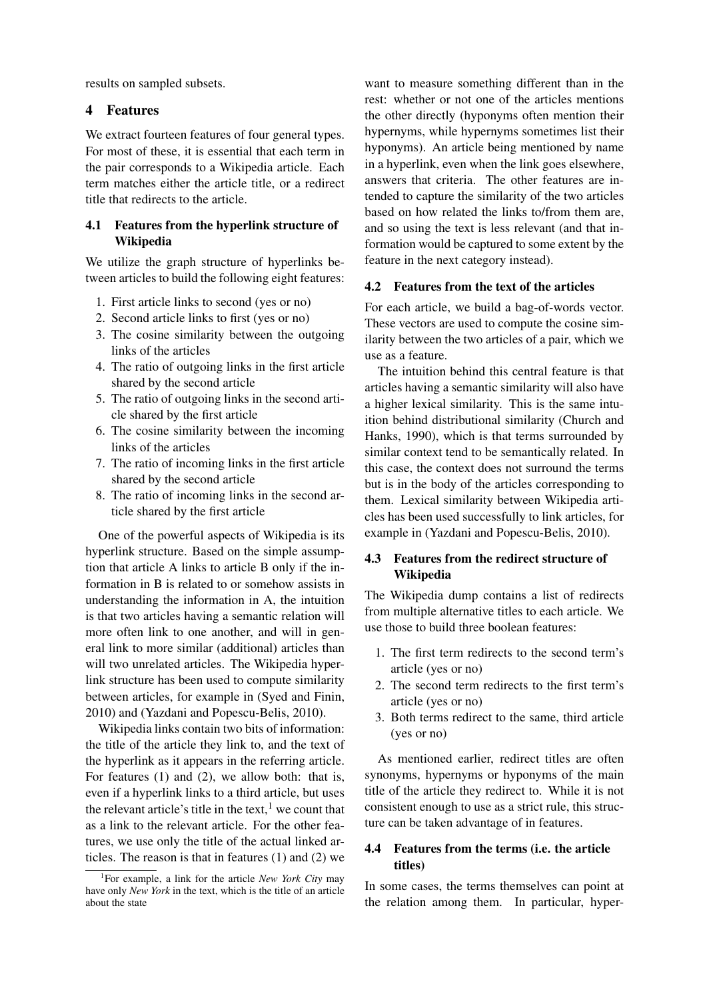results on sampled subsets.

# 4 Features

We extract fourteen features of four general types. For most of these, it is essential that each term in the pair corresponds to a Wikipedia article. Each term matches either the article title, or a redirect title that redirects to the article.

### 4.1 Features from the hyperlink structure of Wikipedia

We utilize the graph structure of hyperlinks between articles to build the following eight features:

- 1. First article links to second (yes or no)
- 2. Second article links to first (yes or no)
- 3. The cosine similarity between the outgoing links of the articles
- 4. The ratio of outgoing links in the first article shared by the second article
- 5. The ratio of outgoing links in the second article shared by the first article
- 6. The cosine similarity between the incoming links of the articles
- 7. The ratio of incoming links in the first article shared by the second article
- 8. The ratio of incoming links in the second article shared by the first article

One of the powerful aspects of Wikipedia is its hyperlink structure. Based on the simple assumption that article A links to article B only if the information in B is related to or somehow assists in understanding the information in A, the intuition is that two articles having a semantic relation will more often link to one another, and will in general link to more similar (additional) articles than will two unrelated articles. The Wikipedia hyperlink structure has been used to compute similarity between articles, for example in (Syed and Finin, 2010) and (Yazdani and Popescu-Belis, 2010).

Wikipedia links contain two bits of information: the title of the article they link to, and the text of the hyperlink as it appears in the referring article. For features (1) and (2), we allow both: that is, even if a hyperlink links to a third article, but uses the relevant article's title in the text, $<sup>1</sup>$  we count that</sup> as a link to the relevant article. For the other features, we use only the title of the actual linked articles. The reason is that in features (1) and (2) we

want to measure something different than in the rest: whether or not one of the articles mentions the other directly (hyponyms often mention their hypernyms, while hypernyms sometimes list their hyponyms). An article being mentioned by name in a hyperlink, even when the link goes elsewhere, answers that criteria. The other features are intended to capture the similarity of the two articles based on how related the links to/from them are, and so using the text is less relevant (and that information would be captured to some extent by the feature in the next category instead).

#### 4.2 Features from the text of the articles

For each article, we build a bag-of-words vector. These vectors are used to compute the cosine similarity between the two articles of a pair, which we use as a feature.

The intuition behind this central feature is that articles having a semantic similarity will also have a higher lexical similarity. This is the same intuition behind distributional similarity (Church and Hanks, 1990), which is that terms surrounded by similar context tend to be semantically related. In this case, the context does not surround the terms but is in the body of the articles corresponding to them. Lexical similarity between Wikipedia articles has been used successfully to link articles, for example in (Yazdani and Popescu-Belis, 2010).

### 4.3 Features from the redirect structure of Wikipedia

The Wikipedia dump contains a list of redirects from multiple alternative titles to each article. We use those to build three boolean features:

- 1. The first term redirects to the second term's article (yes or no)
- 2. The second term redirects to the first term's article (yes or no)
- 3. Both terms redirect to the same, third article (yes or no)

As mentioned earlier, redirect titles are often synonyms, hypernyms or hyponyms of the main title of the article they redirect to. While it is not consistent enough to use as a strict rule, this structure can be taken advantage of in features.

### 4.4 Features from the terms (i.e. the article titles)

In some cases, the terms themselves can point at the relation among them. In particular, hyper-

<sup>1</sup> For example, a link for the article *New York City* may have only *New York* in the text, which is the title of an article about the state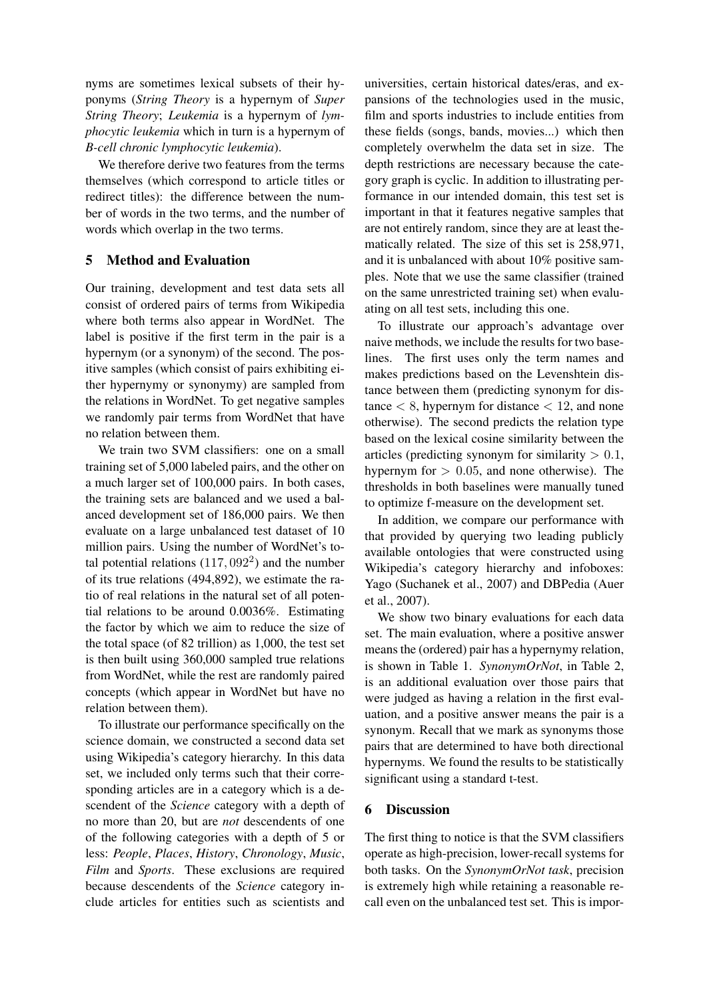nyms are sometimes lexical subsets of their hyponyms (*String Theory* is a hypernym of *Super String Theory*; *Leukemia* is a hypernym of *lymphocytic leukemia* which in turn is a hypernym of *B-cell chronic lymphocytic leukemia*).

We therefore derive two features from the terms themselves (which correspond to article titles or redirect titles): the difference between the number of words in the two terms, and the number of words which overlap in the two terms.

# 5 Method and Evaluation

Our training, development and test data sets all consist of ordered pairs of terms from Wikipedia where both terms also appear in WordNet. The label is positive if the first term in the pair is a hypernym (or a synonym) of the second. The positive samples (which consist of pairs exhibiting either hypernymy or synonymy) are sampled from the relations in WordNet. To get negative samples we randomly pair terms from WordNet that have no relation between them.

We train two SVM classifiers: one on a small training set of 5,000 labeled pairs, and the other on a much larger set of 100,000 pairs. In both cases, the training sets are balanced and we used a balanced development set of 186,000 pairs. We then evaluate on a large unbalanced test dataset of 10 million pairs. Using the number of WordNet's total potential relations  $(117, 092<sup>2</sup>)$  and the number of its true relations (494,892), we estimate the ratio of real relations in the natural set of all potential relations to be around 0.0036%. Estimating the factor by which we aim to reduce the size of the total space (of 82 trillion) as 1,000, the test set is then built using 360,000 sampled true relations from WordNet, while the rest are randomly paired concepts (which appear in WordNet but have no relation between them).

To illustrate our performance specifically on the science domain, we constructed a second data set using Wikipedia's category hierarchy. In this data set, we included only terms such that their corresponding articles are in a category which is a descendent of the *Science* category with a depth of no more than 20, but are *not* descendents of one of the following categories with a depth of 5 or less: *People*, *Places*, *History*, *Chronology*, *Music*, *Film* and *Sports*. These exclusions are required because descendents of the *Science* category include articles for entities such as scientists and universities, certain historical dates/eras, and expansions of the technologies used in the music, film and sports industries to include entities from these fields (songs, bands, movies...) which then completely overwhelm the data set in size. The depth restrictions are necessary because the category graph is cyclic. In addition to illustrating performance in our intended domain, this test set is important in that it features negative samples that are not entirely random, since they are at least thematically related. The size of this set is 258,971, and it is unbalanced with about 10% positive samples. Note that we use the same classifier (trained on the same unrestricted training set) when evaluating on all test sets, including this one.

To illustrate our approach's advantage over naive methods, we include the results for two baselines. The first uses only the term names and makes predictions based on the Levenshtein distance between them (predicting synonym for distance  $< 8$ , hypernym for distance  $< 12$ , and none otherwise). The second predicts the relation type based on the lexical cosine similarity between the articles (predicting synonym for similarity  $> 0.1$ , hypernym for  $> 0.05$ , and none otherwise). The thresholds in both baselines were manually tuned to optimize f-measure on the development set.

In addition, we compare our performance with that provided by querying two leading publicly available ontologies that were constructed using Wikipedia's category hierarchy and infoboxes: Yago (Suchanek et al., 2007) and DBPedia (Auer et al., 2007).

We show two binary evaluations for each data set. The main evaluation, where a positive answer means the (ordered) pair has a hypernymy relation, is shown in Table 1. *SynonymOrNot*, in Table 2, is an additional evaluation over those pairs that were judged as having a relation in the first evaluation, and a positive answer means the pair is a synonym. Recall that we mark as synonyms those pairs that are determined to have both directional hypernyms. We found the results to be statistically significant using a standard t-test.

# 6 Discussion

The first thing to notice is that the SVM classifiers operate as high-precision, lower-recall systems for both tasks. On the *SynonymOrNot task*, precision is extremely high while retaining a reasonable recall even on the unbalanced test set. This is impor-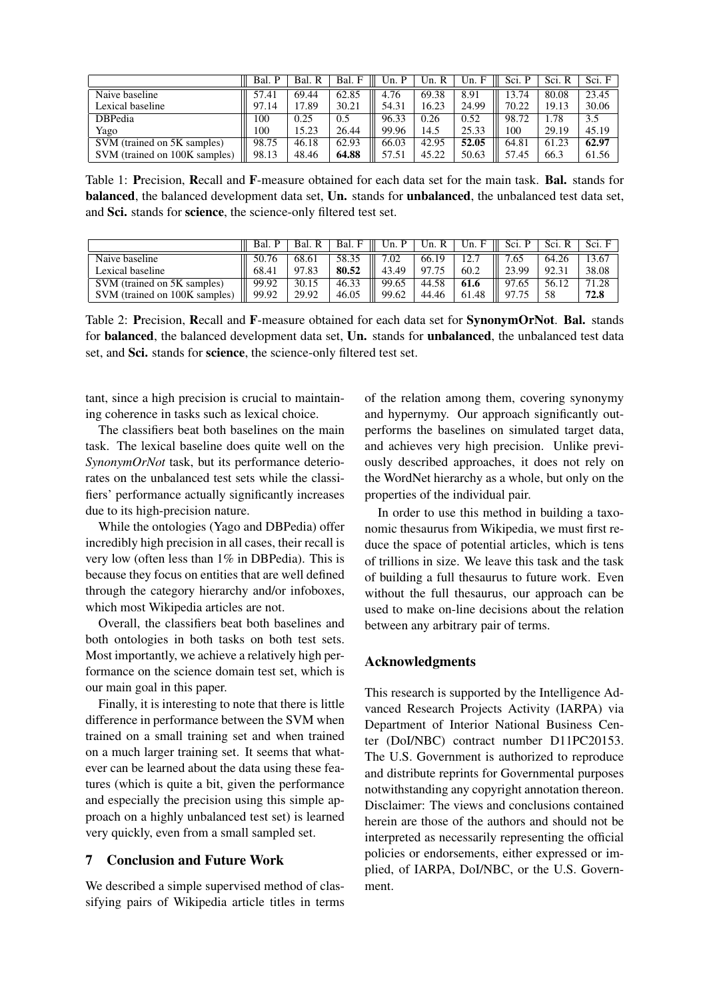|                               | Bal.<br>$\mathbf{p}$ | Bal.<br>R | Bal.  | Un. P | R<br>Un. | Un. F | Sci. P | Sci. R | Sci. F |
|-------------------------------|----------------------|-----------|-------|-------|----------|-------|--------|--------|--------|
| Naive baseline                | 57.41                | 69.44     | 62.85 | 4.76  | 69.38    | 8.91  | 13.74  | 80.08  | 23.45  |
| Lexical baseline              | 97.14                | 17.89     | 30.21 | 54.31 | 16.23    | 24.99 | 70.22  | 19.13  | 30.06  |
| <b>DBPedia</b>                | 100                  | 0.25      | 0.5   | 96.33 | 0.26     | 0.52  | 98.72  | 1.78   | 3.5    |
| Yago                          | 100                  | 15.23     | 26.44 | 99.96 | 14.5     | 25.33 | 100    | 29.19  | 45.19  |
| SVM (trained on 5K samples)   | 98.75                | 46.18     | 62.93 | 66.03 | 42.95    | 52.05 | 64.81  | 61.23  | 62.97  |
| SVM (trained on 100K samples) | 98.13                | 48.46     | 64.88 | 57.51 | 45.22    | 50.63 | 57.45  | 66.3   | 61.56  |

Table 1: Precision, Recall and F-measure obtained for each data set for the main task. Bal. stands for balanced, the balanced development data set, Un. stands for unbalanced, the unbalanced test data set, and Sci. stands for science, the science-only filtered test set.

|                               | Bal.  | Bal.  | Bal. F | Un.<br>P | Un. R | Un. F | Sci. P | Sci. R | Sci. F |
|-------------------------------|-------|-------|--------|----------|-------|-------|--------|--------|--------|
| Naive baseline                | 50.76 | 68.61 | 58.35  | .02      | 66.19 | 12.7  | 7.65   | 64.26  | 13.67  |
| Lexical baseline              | 68.41 | 97.83 | 80.52  | 43.49    | 97.75 | 60.2  | 23.99  | 92.31  | 38.08  |
| SVM (trained on 5K samples)   | 99.92 | 30.15 | 46.33  | 99.65    | 44.58 | 61.6  | 97.65  | 56.12  | 71.28  |
| SVM (trained on 100K samples) | 99.92 | 29.92 | 46.05  | 99.62    | 44.46 | 61.48 | Q7 75  |        | 72.8   |

Table 2: Precision, Recall and F-measure obtained for each data set for SynonymOrNot. Bal. stands for **balanced**, the balanced development data set, Un. stands for **unbalanced**, the unbalanced test data set, and Sci. stands for science, the science-only filtered test set.

tant, since a high precision is crucial to maintaining coherence in tasks such as lexical choice.

The classifiers beat both baselines on the main task. The lexical baseline does quite well on the *SynonymOrNot* task, but its performance deteriorates on the unbalanced test sets while the classifiers' performance actually significantly increases due to its high-precision nature.

While the ontologies (Yago and DBPedia) offer incredibly high precision in all cases, their recall is very low (often less than 1% in DBPedia). This is because they focus on entities that are well defined through the category hierarchy and/or infoboxes, which most Wikipedia articles are not.

Overall, the classifiers beat both baselines and both ontologies in both tasks on both test sets. Most importantly, we achieve a relatively high performance on the science domain test set, which is our main goal in this paper.

Finally, it is interesting to note that there is little difference in performance between the SVM when trained on a small training set and when trained on a much larger training set. It seems that whatever can be learned about the data using these features (which is quite a bit, given the performance and especially the precision using this simple approach on a highly unbalanced test set) is learned very quickly, even from a small sampled set.

# 7 Conclusion and Future Work

We described a simple supervised method of classifying pairs of Wikipedia article titles in terms of the relation among them, covering synonymy and hypernymy. Our approach significantly outperforms the baselines on simulated target data, and achieves very high precision. Unlike previously described approaches, it does not rely on the WordNet hierarchy as a whole, but only on the properties of the individual pair.

In order to use this method in building a taxonomic thesaurus from Wikipedia, we must first reduce the space of potential articles, which is tens of trillions in size. We leave this task and the task of building a full thesaurus to future work. Even without the full thesaurus, our approach can be used to make on-line decisions about the relation between any arbitrary pair of terms.

### Acknowledgments

This research is supported by the Intelligence Advanced Research Projects Activity (IARPA) via Department of Interior National Business Center (DoI/NBC) contract number D11PC20153. The U.S. Government is authorized to reproduce and distribute reprints for Governmental purposes notwithstanding any copyright annotation thereon. Disclaimer: The views and conclusions contained herein are those of the authors and should not be interpreted as necessarily representing the official policies or endorsements, either expressed or implied, of IARPA, DoI/NBC, or the U.S. Government.